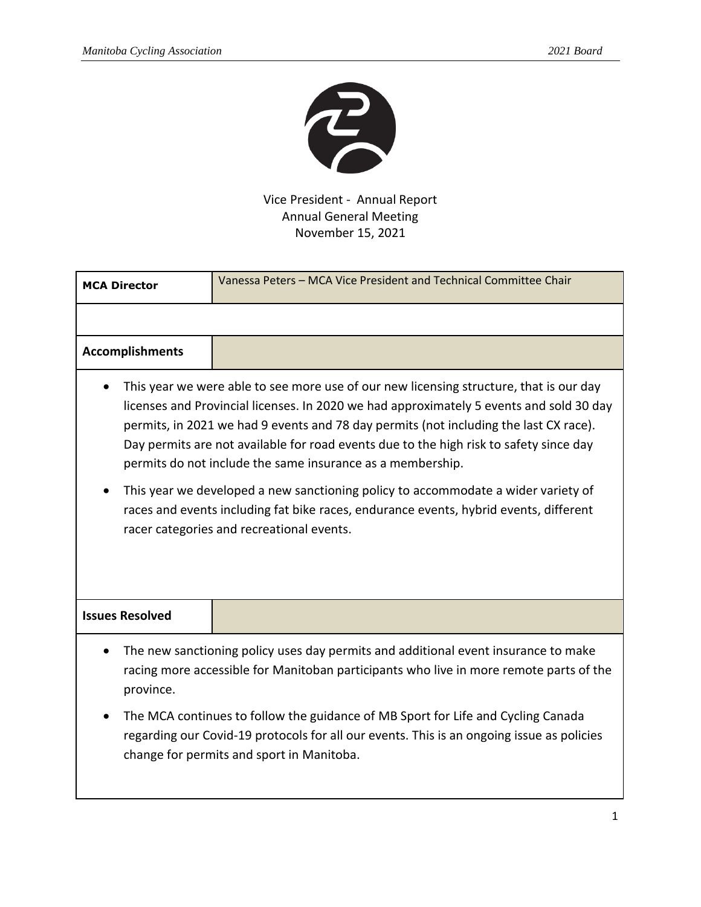

Vice President - Annual Report Annual General Meeting November 15, 2021

| <b>MCA Director</b>                                                                                                                                                                                                                                                                                                                                                                                                                                                                                                                                                                                                                                           | Vanessa Peters - MCA Vice President and Technical Committee Chair |
|---------------------------------------------------------------------------------------------------------------------------------------------------------------------------------------------------------------------------------------------------------------------------------------------------------------------------------------------------------------------------------------------------------------------------------------------------------------------------------------------------------------------------------------------------------------------------------------------------------------------------------------------------------------|-------------------------------------------------------------------|
|                                                                                                                                                                                                                                                                                                                                                                                                                                                                                                                                                                                                                                                               |                                                                   |
| <b>Accomplishments</b>                                                                                                                                                                                                                                                                                                                                                                                                                                                                                                                                                                                                                                        |                                                                   |
| This year we were able to see more use of our new licensing structure, that is our day<br>licenses and Provincial licenses. In 2020 we had approximately 5 events and sold 30 day<br>permits, in 2021 we had 9 events and 78 day permits (not including the last CX race).<br>Day permits are not available for road events due to the high risk to safety since day<br>permits do not include the same insurance as a membership.<br>This year we developed a new sanctioning policy to accommodate a wider variety of<br>races and events including fat bike races, endurance events, hybrid events, different<br>racer categories and recreational events. |                                                                   |
| <b>Issues Resolved</b>                                                                                                                                                                                                                                                                                                                                                                                                                                                                                                                                                                                                                                        |                                                                   |
| The new sanctioning policy uses day permits and additional event insurance to make<br>racing more accessible for Manitoban participants who live in more remote parts of the<br>province.<br>The MCA continues to follow the guidance of MB Sport for Life and Cycling Canada<br>regarding our Covid-19 protocols for all our events. This is an ongoing issue as policies<br>change for permits and sport in Manitoba.                                                                                                                                                                                                                                       |                                                                   |